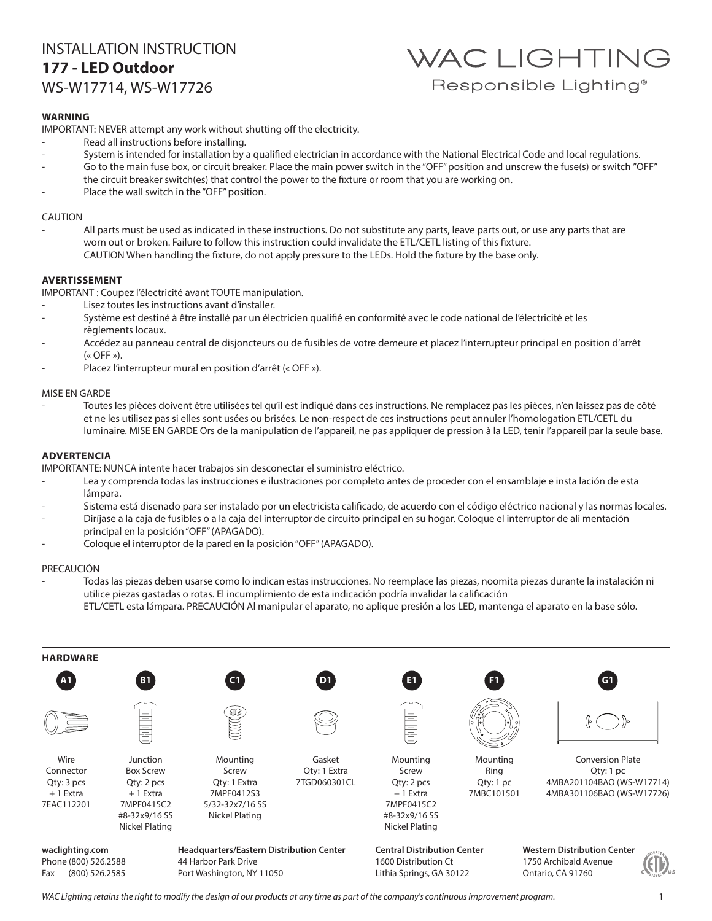## INSTALLATION INSTRUCTION **177 - LED Outdoor**

WS-W17714, WS-W17726

### **WARNING**

IMPORTANT: NEVER attempt any work without shutting off the electricity.

- Read all instructions before installing.
- System is intended for installation by a qualified electrician in accordance with the National Electrical Code and local regulations.
- Go to the main fuse box, or circuit breaker. Place the main power switch in the "OFF" position and unscrew the fuse(s) or switch "OFF" the circuit breaker switch(es) that control the power to the fixture or room that you are working on.
- Place the wall switch in the "OFF" position.

### CAUTION

All parts must be used as indicated in these instructions. Do not substitute any parts, leave parts out, or use any parts that are worn out or broken. Failure to follow this instruction could invalidate the ETL/CETL listing of this fixture. CAUTION When handling the fixture, do not apply pressure to the LEDs. Hold the fixture by the base only.

### **AVERTISSEMENT**

IMPORTANT : Coupez l'électricité avant TOUTE manipulation.

- Lisez toutes les instructions avant d'installer.
- Système est destiné à être installé par un électricien qualifié en conformité avec le code national de l'électricité et les règlements locaux.
- Accédez au panneau central de disjoncteurs ou de fusibles de votre demeure et placez l'interrupteur principal en position d'arrêt  $(\kappa$  OFF »).
- Placez l'interrupteur mural en position d'arrêt (« OFF »).

### MISE EN GARDE

- Toutes les pièces doivent être utilisées tel qu'il est indiqué dans ces instructions. Ne remplacez pas les pièces, n'en laissez pas de côté et ne les utilisez pas si elles sont usées ou brisées. Le non-respect de ces instructions peut annuler l'homologation ETL/CETL du luminaire. MISE EN GARDE Ors de la manipulation de l'appareil, ne pas appliquer de pression à la LED, tenir l'appareil par la seule base.

### **ADVERTENCIA**

IMPORTANTE: NUNCA intente hacer trabajos sin desconectar el suministro eléctrico.

- Lea y comprenda todas las instrucciones e ilustraciones por completo antes de proceder con el ensamblaje e insta lación de esta lámpara.
- Sistema está disenado para ser instalado por un electricista calificado, de acuerdo con el código eléctrico nacional y las normas locales.
- Diríjase a la caja de fusibles o a la caja del interruptor de circuito principal en su hogar. Coloque el interruptor de ali mentación principal en la posición "OFF" (APAGADO).
- Coloque el interruptor de la pared en la posición "OFF" (APAGADO).

### PRECAUCIÓN

- Todas las piezas deben usarse como lo indican estas instrucciones. No reemplace las piezas, noomita piezas durante la instalación ni utilice piezas gastadas o rotas. El incumplimiento de esta indicación podría invalidar la calificación
	- ETL/CETL esta lámpara. PRECAUCIÓN Al manipular el aparato, no aplique presión a los LED, mantenga el aparato en la base sólo.



*WAC Lighting retains the right to modify the design of our products at any time as part of the company's continuous improvement program.* 1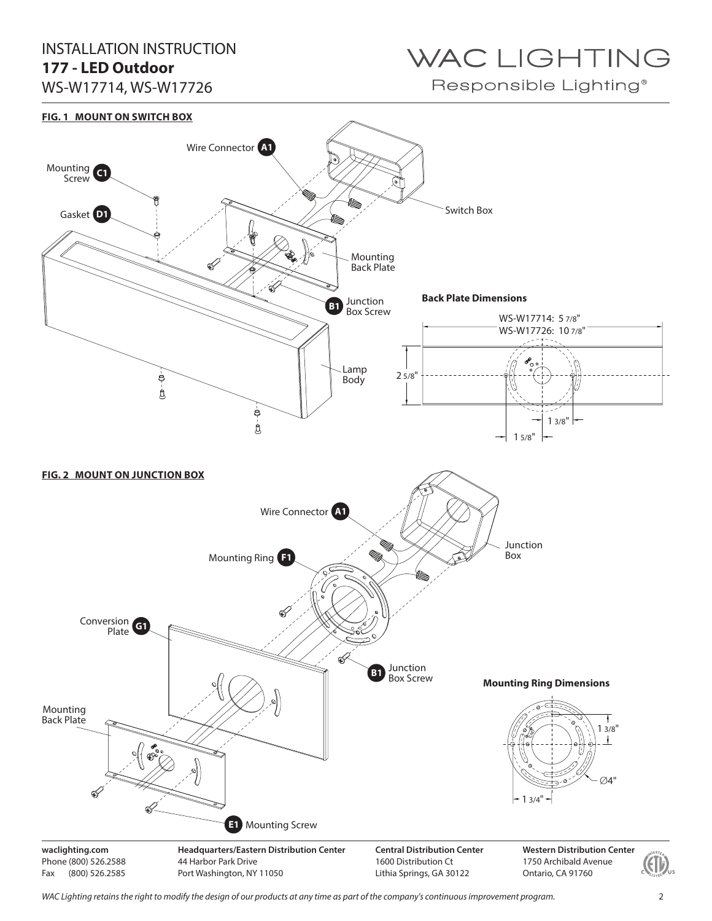## INSTALLATION INSTRUCTION **177 - LED Outdoor**

WS-W17714, WS-W17726

# WAC LIGHTING

Responsible Lighting®



*WAC Lighting retains the right to modify the design of our products at any time as part of the company's continuous improvement program.* 2